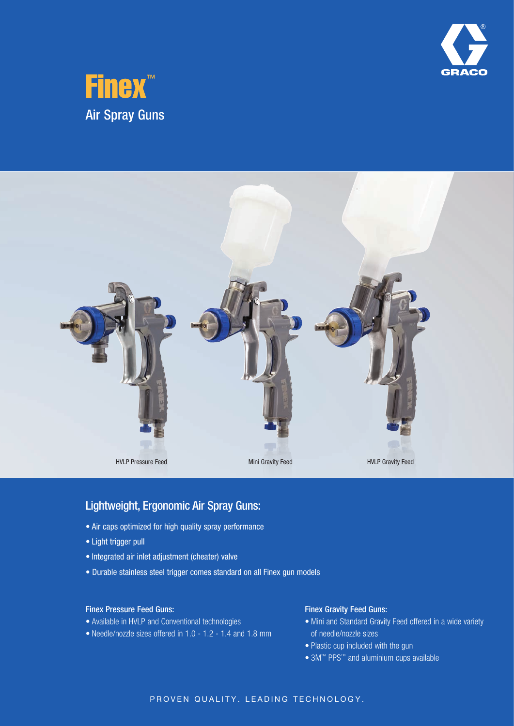





## Lightweight, Ergonomic Air Spray Guns:

- Air caps optimized for high quality spray performance
- • Light trigger pull
- • Integrated air inlet adjustment (cheater) valve
- Durable stainless steel trigger comes standard on all Finex gun models

#### Finex Pressure Feed Guns:

- Available in HVLP and Conventional technologies
- • Needle/nozzle sizes offered in 1.0 1.2 1.4 and 1.8 mm

#### Finex Gravity Feed Guns:

- Mini and Standard Gravity Feed offered in a wide variety of needle/nozzle sizes
- Plastic cup included with the gun
- 3M™ PPS™ and aluminium cups available

#### PROVEN QUALITY. LEADING TECHNOLOGY.